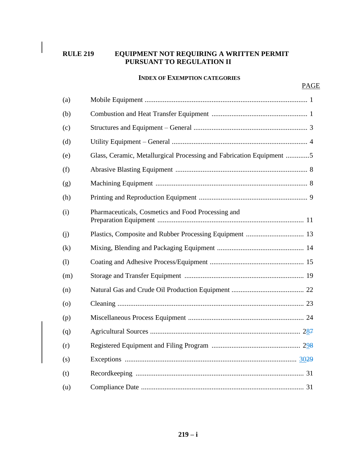# **RULE 219 EQUIPMENT NOT REQUIRING A WRITTEN PERMIT PURSUANT TO REGULATION II**

#### **INDEX OF EXEMPTION CATEGORIES**

| (a)     |                                                                      |  |  |
|---------|----------------------------------------------------------------------|--|--|
| (b)     |                                                                      |  |  |
| (c)     |                                                                      |  |  |
| (d)     |                                                                      |  |  |
| (e)     | Glass, Ceramic, Metallurgical Processing and Fabrication Equipment 5 |  |  |
| (f)     |                                                                      |  |  |
| (g)     |                                                                      |  |  |
| (h)     |                                                                      |  |  |
| (i)     | Pharmaceuticals, Cosmetics and Food Processing and                   |  |  |
| (i)     |                                                                      |  |  |
| (k)     |                                                                      |  |  |
| (1)     |                                                                      |  |  |
| (m)     |                                                                      |  |  |
| (n)     |                                                                      |  |  |
| $\circ$ |                                                                      |  |  |
| (p)     |                                                                      |  |  |
| (q)     |                                                                      |  |  |
| (r)     |                                                                      |  |  |
| (s)     |                                                                      |  |  |
| (t)     |                                                                      |  |  |
| (u)     |                                                                      |  |  |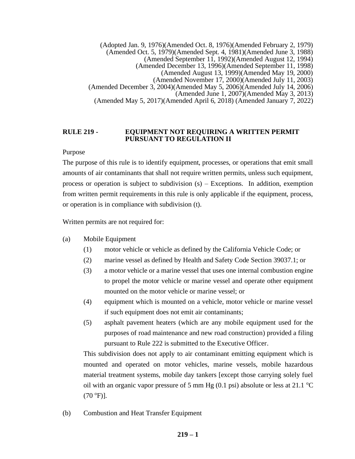(Adopted Jan. 9, 1976)(Amended Oct. 8, 1976)(Amended February 2, 1979) (Amended Oct. 5, 1979)(Amended Sept. 4, 1981)(Amended June 3, 1988) (Amended September 11, 1992)(Amended August 12, 1994) (Amended December 13, 1996)(Amended September 11, 1998) (Amended August 13, 1999)(Amended May 19, 2000) (Amended November 17, 2000)(Amended July 11, 2003) (Amended December 3, 2004)(Amended May 5, 2006)(Amended July 14, 2006) (Amended June 1, 2007)(Amended May 3, 2013) (Amended May 5, 2017)(Amended April 6, 2018) (Amended January 7, 2022)

#### **RULE 219 - EQUIPMENT NOT REQUIRING A WRITTEN PERMIT PURSUANT TO REGULATION II**

Purpose

The purpose of this rule is to identify equipment, processes, or operations that emit small amounts of air contaminants that shall not require written permits, unless such equipment, process or operation is subject to subdivision (s) – Exceptions. In addition, exemption from written permit requirements in this rule is only applicable if the equipment, process, or operation is in compliance with subdivision (t).

Written permits are not required for:

- (a) Mobile Equipment
	- (1) motor vehicle or vehicle as defined by the California Vehicle Code; or
	- (2) marine vessel as defined by Health and Safety Code Section 39037.1; or
	- (3) a motor vehicle or a marine vessel that uses one internal combustion engine to propel the motor vehicle or marine vessel and operate other equipment mounted on the motor vehicle or marine vessel; or
	- (4) equipment which is mounted on a vehicle, motor vehicle or marine vessel if such equipment does not emit air contaminants;
	- (5) asphalt pavement heaters (which are any mobile equipment used for the purposes of road maintenance and new road construction) provided a filing pursuant to Rule 222 is submitted to the Executive Officer.

This subdivision does not apply to air contaminant emitting equipment which is mounted and operated on motor vehicles, marine vessels, mobile hazardous material treatment systems, mobile day tankers [except those carrying solely fuel oil with an organic vapor pressure of 5 mm Hg (0.1 psi) absolute or less at 21.1  $^{\circ}$ C  $(70 °F)$ ].

(b) Combustion and Heat Transfer Equipment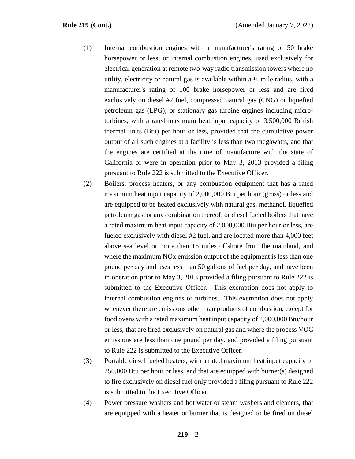- (1) Internal combustion engines with a manufacturer's rating of 50 brake horsepower or less; or internal combustion engines, used exclusively for electrical generation at remote two-way radio transmission towers where no utility, electricity or natural gas is available within a  $\frac{1}{2}$  mile radius, with a manufacturer's rating of 100 brake horsepower or less and are fired exclusively on diesel #2 fuel, compressed natural gas (CNG) or liquefied petroleum gas (LPG); or stationary gas turbine engines including microturbines, with a rated maximum heat input capacity of 3,500,000 British thermal units (Btu) per hour or less, provided that the cumulative power output of all such engines at a facility is less than two megawatts, and that the engines are certified at the time of manufacture with the state of California or were in operation prior to May 3, 2013 provided a filing pursuant to Rule 222 is submitted to the Executive Officer.
- (2) Boilers, process heaters, or any combustion equipment that has a rated maximum heat input capacity of 2,000,000 Btu per hour (gross) or less and are equipped to be heated exclusively with natural gas, methanol, liquefied petroleum gas, or any combination thereof; or diesel fueled boilers that have a rated maximum heat input capacity of 2,000,000 Btu per hour or less, are fueled exclusively with diesel #2 fuel, and are located more than 4,000 feet above sea level or more than 15 miles offshore from the mainland, and where the maximum NO<sub>x</sub> emission output of the equipment is less than one pound per day and uses less than 50 gallons of fuel per day, and have been in operation prior to May 3, 2013 provided a filing pursuant to Rule 222 is submitted to the Executive Officer. This exemption does not apply to internal combustion engines or turbines. This exemption does not apply whenever there are emissions other than products of combustion, except for food ovens with a rated maximum heat input capacity of 2,000,000 Btu/hour or less, that are fired exclusively on natural gas and where the process VOC emissions are less than one pound per day, and provided a filing pursuant to Rule 222 is submitted to the Executive Officer.
- (3) Portable diesel fueled heaters, with a rated maximum heat input capacity of 250,000 Btu per hour or less, and that are equipped with burner(s) designed to fire exclusively on diesel fuel only provided a filing pursuant to Rule 222 is submitted to the Executive Officer.
- (4) Power pressure washers and hot water or steam washers and cleaners, that are equipped with a heater or burner that is designed to be fired on diesel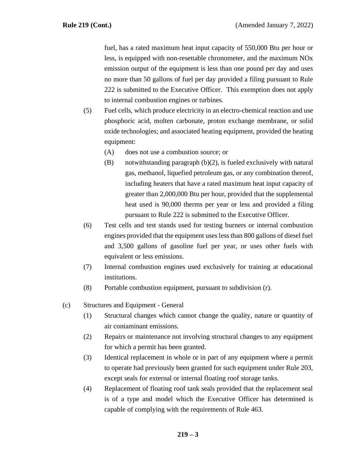fuel, has a rated maximum heat input capacity of 550,000 Btu per hour or less, is equipped with non-resettable chronometer, and the maximum NOx emission output of the equipment is less than one pound per day and uses no more than 50 gallons of fuel per day provided a filing pursuant to Rule 222 is submitted to the Executive Officer. This exemption does not apply to internal combustion engines or turbines.

- (5) Fuel cells, which produce electricity in an electro-chemical reaction and use phosphoric acid, molten carbonate, proton exchange membrane, or solid oxide technologies; and associated heating equipment, provided the heating equipment:
	- (A) does not use a combustion source; or
	- (B) notwithstanding paragraph (b)(2), is fueled exclusively with natural gas, methanol, liquefied petroleum gas, or any combination thereof, including heaters that have a rated maximum heat input capacity of greater than 2,000,000 Btu per hour, provided that the supplemental heat used is 90,000 therms per year or less and provided a filing pursuant to Rule 222 is submitted to the Executive Officer.
- (6) Test cells and test stands used for testing burners or internal combustion engines provided that the equipment uses less than 800 gallons of diesel fuel and 3,500 gallons of gasoline fuel per year, or uses other fuels with equivalent or less emissions.
- (7) Internal combustion engines used exclusively for training at educational institutions.
- (8) Portable combustion equipment, pursuant to subdivision (r).
- (c) Structures and Equipment General
	- (1) Structural changes which cannot change the quality, nature or quantity of air contaminant emissions.
	- (2) Repairs or maintenance not involving structural changes to any equipment for which a permit has been granted.
	- (3) Identical replacement in whole or in part of any equipment where a permit to operate had previously been granted for such equipment under Rule 203, except seals for external or internal floating roof storage tanks.
	- (4) Replacement of floating roof tank seals provided that the replacement seal is of a type and model which the Executive Officer has determined is capable of complying with the requirements of Rule 463.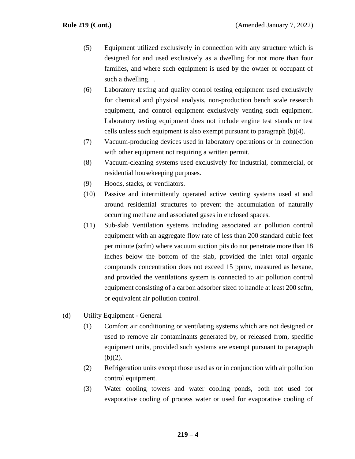- (5) Equipment utilized exclusively in connection with any structure which is designed for and used exclusively as a dwelling for not more than four families, and where such equipment is used by the owner or occupant of such a dwelling. .
- (6) Laboratory testing and quality control testing equipment used exclusively for chemical and physical analysis, non-production bench scale research equipment, and control equipment exclusively venting such equipment. Laboratory testing equipment does not include engine test stands or test cells unless such equipment is also exempt pursuant to paragraph (b)(4).
- (7) Vacuum-producing devices used in laboratory operations or in connection with other equipment not requiring a written permit.
- (8) Vacuum-cleaning systems used exclusively for industrial, commercial, or residential housekeeping purposes.
- (9) Hoods, stacks, or ventilators.
- (10) Passive and intermittently operated active venting systems used at and around residential structures to prevent the accumulation of naturally occurring methane and associated gases in enclosed spaces.
- (11) Sub-slab Ventilation systems including associated air pollution control equipment with an aggregate flow rate of less than 200 standard cubic feet per minute (scfm) where vacuum suction pits do not penetrate more than 18 inches below the bottom of the slab, provided the inlet total organic compounds concentration does not exceed 15 ppmv, measured as hexane, and provided the ventilations system is connected to air pollution control equipment consisting of a carbon adsorber sized to handle at least 200 scfm, or equivalent air pollution control.
- (d) Utility Equipment General
	- (1) Comfort air conditioning or ventilating systems which are not designed or used to remove air contaminants generated by, or released from, specific equipment units, provided such systems are exempt pursuant to paragraph  $(b)(2)$ .
	- (2) Refrigeration units except those used as or in conjunction with air pollution control equipment.
	- (3) Water cooling towers and water cooling ponds, both not used for evaporative cooling of process water or used for evaporative cooling of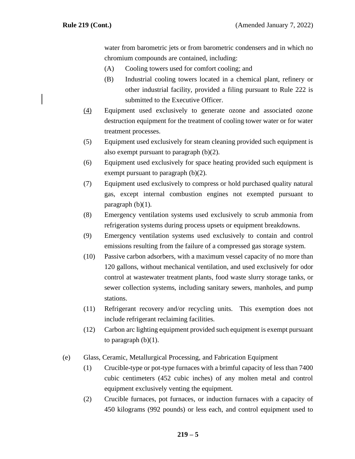water from barometric jets or from barometric condensers and in which no chromium compounds are contained, including:

- (A) Cooling towers used for comfort cooling; and
- (B) Industrial cooling towers located in a chemical plant, refinery or other industrial facility, provided a filing pursuant to Rule 222 is submitted to the Executive Officer.
- (4) Equipment used exclusively to generate ozone and associated ozone destruction equipment for the treatment of cooling tower water or for water treatment processes.
- (5) Equipment used exclusively for steam cleaning provided such equipment is also exempt pursuant to paragraph (b)(2).
- (6) Equipment used exclusively for space heating provided such equipment is exempt pursuant to paragraph (b)(2).
- (7) Equipment used exclusively to compress or hold purchased quality natural gas, except internal combustion engines not exempted pursuant to paragraph  $(b)(1)$ .
- (8) Emergency ventilation systems used exclusively to scrub ammonia from refrigeration systems during process upsets or equipment breakdowns.
- (9) Emergency ventilation systems used exclusively to contain and control emissions resulting from the failure of a compressed gas storage system.
- (10) Passive carbon adsorbers, with a maximum vessel capacity of no more than 120 gallons, without mechanical ventilation, and used exclusively for odor control at wastewater treatment plants, food waste slurry storage tanks, or sewer collection systems, including sanitary sewers, manholes, and pump stations.
- (11) Refrigerant recovery and/or recycling units. This exemption does not include refrigerant reclaiming facilities.
- (12) Carbon arc lighting equipment provided such equipment is exempt pursuant to paragraph  $(b)(1)$ .
- (e) Glass, Ceramic, Metallurgical Processing, and Fabrication Equipment
	- (1) Crucible-type or pot-type furnaces with a brimful capacity of less than 7400 cubic centimeters (452 cubic inches) of any molten metal and control equipment exclusively venting the equipment.
	- (2) Crucible furnaces, pot furnaces, or induction furnaces with a capacity of 450 kilograms (992 pounds) or less each, and control equipment used to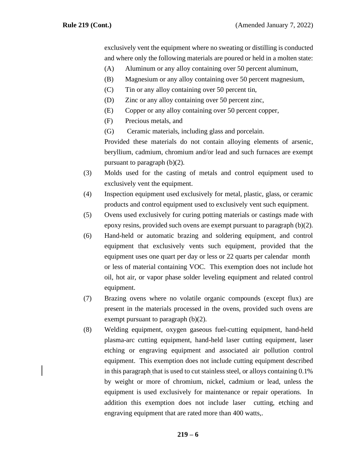exclusively vent the equipment where no sweating or distilling is conducted and where only the following materials are poured or held in a molten state:

- (A) Aluminum or any alloy containing over 50 percent aluminum,
- (B) Magnesium or any alloy containing over 50 percent magnesium,
- (C) Tin or any alloy containing over 50 percent tin,
- (D) Zinc or any alloy containing over 50 percent zinc,
- (E) Copper or any alloy containing over 50 percent copper,
- (F) Precious metals, and
- (G) Ceramic materials, including glass and porcelain.

Provided these materials do not contain alloying elements of arsenic, beryllium, cadmium, chromium and/or lead and such furnaces are exempt pursuant to paragraph (b)(2).

- (3) Molds used for the casting of metals and control equipment used to exclusively vent the equipment.
- (4) Inspection equipment used exclusively for metal, plastic, glass, or ceramic products and control equipment used to exclusively vent such equipment.
- (5) Ovens used exclusively for curing potting materials or castings made with epoxy resins, provided such ovens are exempt pursuant to paragraph (b)(2).
- (6) Hand-held or automatic brazing and soldering equipment, and control equipment that exclusively vents such equipment, provided that the equipment uses one quart per day or less or 22 quarts per calendar month or less of material containing VOC. This exemption does not include hot oil, hot air, or vapor phase solder leveling equipment and related control equipment.
- (7) Brazing ovens where no volatile organic compounds (except flux) are present in the materials processed in the ovens, provided such ovens are exempt pursuant to paragraph (b)(2).
- (8) Welding equipment, oxygen gaseous fuel-cutting equipment, hand-held plasma-arc cutting equipment, hand-held laser cutting equipment, laser etching or engraving equipment and associated air pollution control equipment. This exemption does not include cutting equipment described in this paragraph that is used to cut stainless steel, or alloys containing 0.1% by weight or more of chromium, nickel, cadmium or lead, unless the equipment is used exclusively for maintenance or repair operations. In addition this exemption does not include laser cutting, etching and engraving equipment that are rated more than 400 watts,.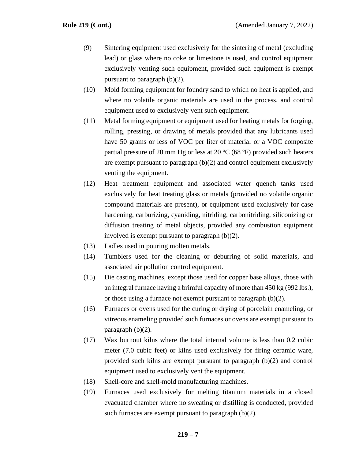- (9) Sintering equipment used exclusively for the sintering of metal (excluding lead) or glass where no coke or limestone is used, and control equipment exclusively venting such equipment, provided such equipment is exempt pursuant to paragraph (b)(2).
- (10) Mold forming equipment for foundry sand to which no heat is applied, and where no volatile organic materials are used in the process, and control equipment used to exclusively vent such equipment.
- (11) Metal forming equipment or equipment used for heating metals for forging, rolling, pressing, or drawing of metals provided that any lubricants used have 50 grams or less of VOC per liter of material or a VOC composite partial pressure of 20 mm Hg or less at 20  $^{\circ}$ C (68  $^{\circ}$ F) provided such heaters are exempt pursuant to paragraph (b)(2) and control equipment exclusively venting the equipment.
- (12) Heat treatment equipment and associated water quench tanks used exclusively for heat treating glass or metals (provided no volatile organic compound materials are present), or equipment used exclusively for case hardening, carburizing, cyaniding, nitriding, carbonitriding, siliconizing or diffusion treating of metal objects, provided any combustion equipment involved is exempt pursuant to paragraph (b)(2).
- (13) Ladles used in pouring molten metals.
- (14) Tumblers used for the cleaning or deburring of solid materials, and associated air pollution control equipment.
- (15) Die casting machines, except those used for copper base alloys, those with an integral furnace having a brimful capacity of more than 450 kg (992 lbs.), or those using a furnace not exempt pursuant to paragraph (b)(2).
- (16) Furnaces or ovens used for the curing or drying of porcelain enameling, or vitreous enameling provided such furnaces or ovens are exempt pursuant to paragraph (b)(2).
- (17) Wax burnout kilns where the total internal volume is less than 0.2 cubic meter (7.0 cubic feet) or kilns used exclusively for firing ceramic ware, provided such kilns are exempt pursuant to paragraph (b)(2) and control equipment used to exclusively vent the equipment.
- (18) Shell-core and shell-mold manufacturing machines.
- (19) Furnaces used exclusively for melting titanium materials in a closed evacuated chamber where no sweating or distilling is conducted, provided such furnaces are exempt pursuant to paragraph (b)(2).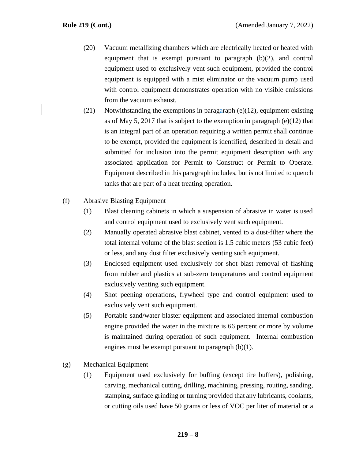- (20) Vacuum metallizing chambers which are electrically heated or heated with equipment that is exempt pursuant to paragraph (b)(2), and control equipment used to exclusively vent such equipment, provided the control equipment is equipped with a mist eliminator or the vacuum pump used with control equipment demonstrates operation with no visible emissions from the vacuum exhaust.
- (21) Notwithstanding the exemptions in paragaraph (e)(12), equipment existing as of May 5, 2017 that is subject to the exemption in paragraph (e)(12) that is an integral part of an operation requiring a written permit shall continue to be exempt, provided the equipment is identified, described in detail and submitted for inclusion into the permit equipment description with any associated application for Permit to Construct or Permit to Operate. Equipment described in this paragraph includes, but is not limited to quench tanks that are part of a heat treating operation.
- (f) Abrasive Blasting Equipment
	- (1) Blast cleaning cabinets in which a suspension of abrasive in water is used and control equipment used to exclusively vent such equipment.
	- (2) Manually operated abrasive blast cabinet, vented to a dust-filter where the total internal volume of the blast section is 1.5 cubic meters (53 cubic feet) or less, and any dust filter exclusively venting such equipment.
	- (3) Enclosed equipment used exclusively for shot blast removal of flashing from rubber and plastics at sub-zero temperatures and control equipment exclusively venting such equipment.
	- (4) Shot peening operations, flywheel type and control equipment used to exclusively vent such equipment.
	- (5) Portable sand/water blaster equipment and associated internal combustion engine provided the water in the mixture is 66 percent or more by volume is maintained during operation of such equipment. Internal combustion engines must be exempt pursuant to paragraph (b)(1).
- (g) Mechanical Equipment
	- (1) Equipment used exclusively for buffing (except tire buffers), polishing, carving, mechanical cutting, drilling, machining, pressing, routing, sanding, stamping, surface grinding or turning provided that any lubricants, coolants, or cutting oils used have 50 grams or less of VOC per liter of material or a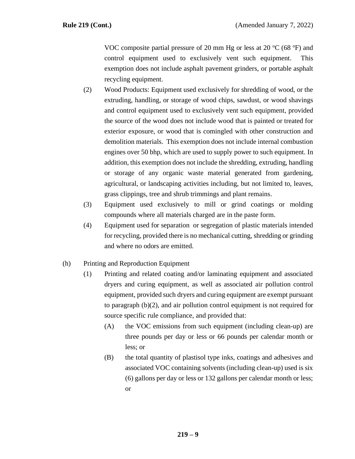VOC composite partial pressure of 20 mm Hg or less at 20  $^{\circ}$ C (68  $^{\circ}$ F) and control equipment used to exclusively vent such equipment. This exemption does not include asphalt pavement grinders, or portable asphalt recycling equipment.

- (2) Wood Products: Equipment used exclusively for shredding of wood, or the extruding, handling, or storage of wood chips, sawdust, or wood shavings and control equipment used to exclusively vent such equipment, provided the source of the wood does not include wood that is painted or treated for exterior exposure, or wood that is comingled with other construction and demolition materials. This exemption does not include internal combustion engines over 50 bhp, which are used to supply power to such equipment. In addition, this exemption does not include the shredding, extruding, handling or storage of any organic waste material generated from gardening, agricultural, or landscaping activities including, but not limited to, leaves, grass clippings, tree and shrub trimmings and plant remains.
- (3) Equipment used exclusively to mill or grind coatings or molding compounds where all materials charged are in the paste form.
- (4) Equipment used for separation or segregation of plastic materials intended for recycling, provided there is no mechanical cutting, shredding or grinding and where no odors are emitted.
- (h) Printing and Reproduction Equipment
	- (1) Printing and related coating and/or laminating equipment and associated dryers and curing equipment, as well as associated air pollution control equipment, provided such dryers and curing equipment are exempt pursuant to paragraph (b)(2), and air pollution control equipment is not required for source specific rule compliance, and provided that:
		- (A) the VOC emissions from such equipment (including clean-up) are three pounds per day or less or 66 pounds per calendar month or less; or
		- (B) the total quantity of plastisol type inks, coatings and adhesives and associated VOC containing solvents (including clean-up) used is six (6) gallons per day or less or 132 gallons per calendar month or less; or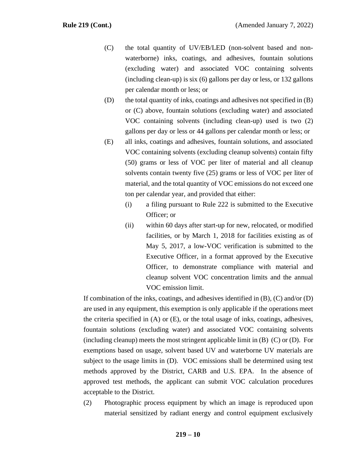- (C) the total quantity of UV/EB/LED (non-solvent based and nonwaterborne) inks, coatings, and adhesives, fountain solutions (excluding water) and associated VOC containing solvents (including clean-up) is six (6) gallons per day or less, or 132 gallons per calendar month or less; or
- (D) the total quantity of inks, coatings and adhesives not specified in (B) or (C) above, fountain solutions (excluding water) and associated VOC containing solvents (including clean-up) used is two (2) gallons per day or less or 44 gallons per calendar month or less; or
- (E) all inks, coatings and adhesives, fountain solutions, and associated VOC containing solvents (excluding cleanup solvents) contain fifty (50) grams or less of VOC per liter of material and all cleanup solvents contain twenty five (25) grams or less of VOC per liter of material, and the total quantity of VOC emissions do not exceed one ton per calendar year, and provided that either:
	- (i) a filing pursuant to Rule 222 is submitted to the Executive Officer; or
	- (ii) within 60 days after start-up for new, relocated, or modified facilities, or by March 1, 2018 for facilities existing as of May 5, 2017, a low-VOC verification is submitted to the Executive Officer, in a format approved by the Executive Officer, to demonstrate compliance with material and cleanup solvent VOC concentration limits and the annual VOC emission limit.

If combination of the inks, coatings, and adhesives identified in  $(B)$ ,  $(C)$  and/or  $(D)$ are used in any equipment, this exemption is only applicable if the operations meet the criteria specified in  $(A)$  or  $(E)$ , or the total usage of inks, coatings, adhesives, fountain solutions (excluding water) and associated VOC containing solvents (including cleanup) meets the most stringent applicable limit in  $(B)$   $(C)$  or  $(D)$ . For exemptions based on usage, solvent based UV and waterborne UV materials are subject to the usage limits in (D). VOC emissions shall be determined using test methods approved by the District, CARB and U.S. EPA. In the absence of approved test methods, the applicant can submit VOC calculation procedures acceptable to the District.

(2) Photographic process equipment by which an image is reproduced upon material sensitized by radiant energy and control equipment exclusively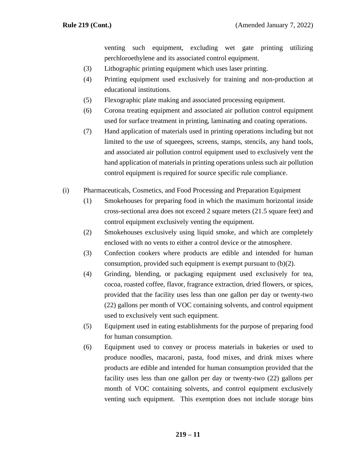venting such equipment, excluding wet gate printing utilizing perchloroethylene and its associated control equipment.

- (3) Lithographic printing equipment which uses laser printing.
- (4) Printing equipment used exclusively for training and non-production at educational institutions.
- (5) Flexographic plate making and associated processing equipment.
- (6) Corona treating equipment and associated air pollution control equipment used for surface treatment in printing, laminating and coating operations.
- (7) Hand application of materials used in printing operations including but not limited to the use of squeegees, screens, stamps, stencils, any hand tools, and associated air pollution control equipment used to exclusively vent the hand application of materials in printing operations unless such air pollution control equipment is required for source specific rule compliance.
- (i) Pharmaceuticals, Cosmetics, and Food Processing and Preparation Equipment
	- (1) Smokehouses for preparing food in which the maximum horizontal inside cross-sectional area does not exceed 2 square meters (21.5 square feet) and control equipment exclusively venting the equipment.
	- (2) Smokehouses exclusively using liquid smoke, and which are completely enclosed with no vents to either a control device or the atmosphere.
	- (3) Confection cookers where products are edible and intended for human consumption, provided such equipment is exempt pursuant to (b)(2).
	- (4) Grinding, blending, or packaging equipment used exclusively for tea, cocoa, roasted coffee, flavor, fragrance extraction, dried flowers, or spices, provided that the facility uses less than one gallon per day or twenty-two (22) gallons per month of VOC containing solvents, and control equipment used to exclusively vent such equipment.
	- (5) Equipment used in eating establishments for the purpose of preparing food for human consumption.
	- (6) Equipment used to convey or process materials in bakeries or used to produce noodles, macaroni, pasta, food mixes, and drink mixes where products are edible and intended for human consumption provided that the facility uses less than one gallon per day or twenty-two (22) gallons per month of VOC containing solvents, and control equipment exclusively venting such equipment. This exemption does not include storage bins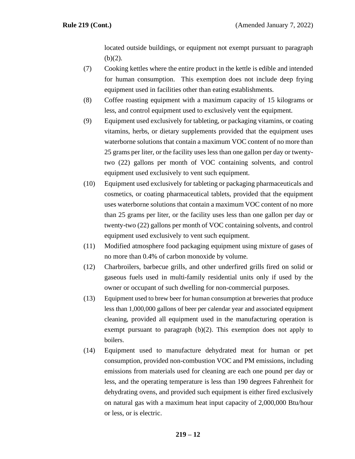located outside buildings, or equipment not exempt pursuant to paragraph  $(b)(2)$ .

- (7) Cooking kettles where the entire product in the kettle is edible and intended for human consumption. This exemption does not include deep frying equipment used in facilities other than eating establishments.
- (8) Coffee roasting equipment with a maximum capacity of 15 kilograms or less, and control equipment used to exclusively vent the equipment.
- (9) Equipment used exclusively for tableting, or packaging vitamins, or coating vitamins, herbs, or dietary supplements provided that the equipment uses waterborne solutions that contain a maximum VOC content of no more than 25 grams per liter, or the facility uses less than one gallon per day or twentytwo (22) gallons per month of VOC containing solvents, and control equipment used exclusively to vent such equipment.
- (10) Equipment used exclusively for tableting or packaging pharmaceuticals and cosmetics, or coating pharmaceutical tablets, provided that the equipment uses waterborne solutions that contain a maximum VOC content of no more than 25 grams per liter, or the facility uses less than one gallon per day or twenty-two (22) gallons per month of VOC containing solvents, and control equipment used exclusively to vent such equipment.
- (11) Modified atmosphere food packaging equipment using mixture of gases of no more than 0.4% of carbon monoxide by volume.
- (12) Charbroilers, barbecue grills, and other underfired grills fired on solid or gaseous fuels used in multi-family residential units only if used by the owner or occupant of such dwelling for non-commercial purposes.
- (13) Equipment used to brew beer for human consumption at breweries that produce less than 1,000,000 gallons of beer per calendar year and associated equipment cleaning, provided all equipment used in the manufacturing operation is exempt pursuant to paragraph (b)(2). This exemption does not apply to boilers.
- (14) Equipment used to manufacture dehydrated meat for human or pet consumption, provided non-combustion VOC and PM emissions, including emissions from materials used for cleaning are each one pound per day or less, and the operating temperature is less than 190 degrees Fahrenheit for dehydrating ovens, and provided such equipment is either fired exclusively on natural gas with a maximum heat input capacity of 2,000,000 Btu/hour or less, or is electric.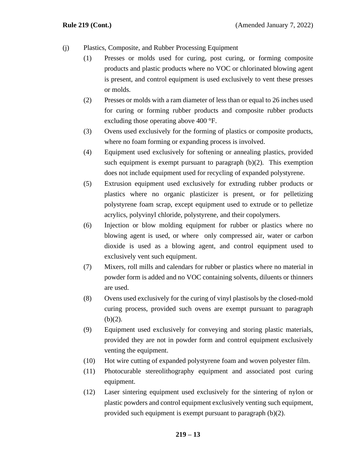- (j) Plastics, Composite, and Rubber Processing Equipment
	- (1) Presses or molds used for curing, post curing, or forming composite products and plastic products where no VOC or chlorinated blowing agent is present, and control equipment is used exclusively to vent these presses or molds.
	- (2) Presses or molds with a ram diameter of less than or equal to 26 inches used for curing or forming rubber products and composite rubber products excluding those operating above 400 °F.
	- (3) Ovens used exclusively for the forming of plastics or composite products, where no foam forming or expanding process is involved.
	- (4) Equipment used exclusively for softening or annealing plastics, provided such equipment is exempt pursuant to paragraph  $(b)(2)$ . This exemption does not include equipment used for recycling of expanded polystyrene.
	- (5) Extrusion equipment used exclusively for extruding rubber products or plastics where no organic plasticizer is present, or for pelletizing polystyrene foam scrap, except equipment used to extrude or to pelletize acrylics, polyvinyl chloride, polystyrene, and their copolymers.
	- (6) Injection or blow molding equipment for rubber or plastics where no blowing agent is used, or where only compressed air, water or carbon dioxide is used as a blowing agent, and control equipment used to exclusively vent such equipment.
	- (7) Mixers, roll mills and calendars for rubber or plastics where no material in powder form is added and no VOC containing solvents, diluents or thinners are used.
	- (8) Ovens used exclusively for the curing of vinyl plastisols by the closed-mold curing process, provided such ovens are exempt pursuant to paragraph  $(b)(2)$ .
	- (9) Equipment used exclusively for conveying and storing plastic materials, provided they are not in powder form and control equipment exclusively venting the equipment.
	- (10) Hot wire cutting of expanded polystyrene foam and woven polyester film.
	- (11) Photocurable stereolithography equipment and associated post curing equipment.
	- (12) Laser sintering equipment used exclusively for the sintering of nylon or plastic powders and control equipment exclusively venting such equipment, provided such equipment is exempt pursuant to paragraph (b)(2).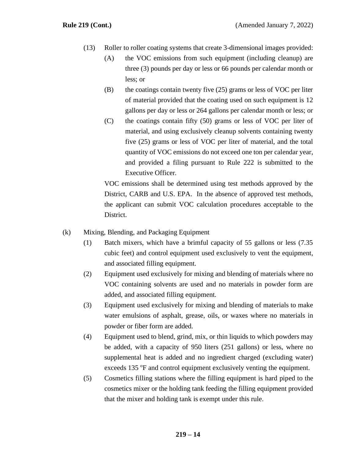- (13) Roller to roller coating systems that create 3-dimensional images provided:
	- (A) the VOC emissions from such equipment (including cleanup) are three (3) pounds per day or less or 66 pounds per calendar month or less; or
	- $(B)$  the coatings contain twenty five (25) grams or less of VOC per liter of material provided that the coating used on such equipment is 12 gallons per day or less or 264 gallons per calendar month or less; or
	- (C) the coatings contain fifty (50) grams or less of VOC per liter of material, and using exclusively cleanup solvents containing twenty five (25) grams or less of VOC per liter of material, and the total quantity of VOC emissions do not exceed one ton per calendar year, and provided a filing pursuant to Rule 222 is submitted to the Executive Officer.

VOC emissions shall be determined using test methods approved by the District, CARB and U.S. EPA. In the absence of approved test methods, the applicant can submit VOC calculation procedures acceptable to the District.

- (k) Mixing, Blending, and Packaging Equipment
	- (1) Batch mixers, which have a brimful capacity of 55 gallons or less (7.35 cubic feet) and control equipment used exclusively to vent the equipment, and associated filling equipment.
	- (2) Equipment used exclusively for mixing and blending of materials where no VOC containing solvents are used and no materials in powder form are added, and associated filling equipment.
	- (3) Equipment used exclusively for mixing and blending of materials to make water emulsions of asphalt, grease, oils, or waxes where no materials in powder or fiber form are added.
	- (4) Equipment used to blend, grind, mix, or thin liquids to which powders may be added, with a capacity of 950 liters (251 gallons) or less, where no supplemental heat is added and no ingredient charged (excluding water) exceeds 135 °F and control equipment exclusively venting the equipment.
	- (5) Cosmetics filling stations where the filling equipment is hard piped to the cosmetics mixer or the holding tank feeding the filling equipment provided that the mixer and holding tank is exempt under this rule.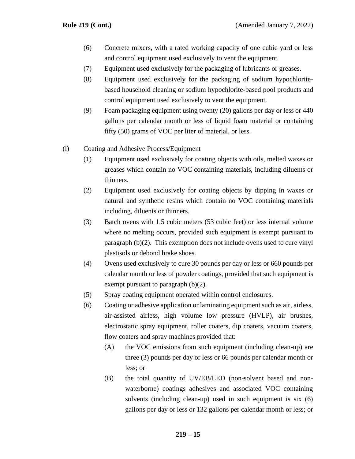- (6) Concrete mixers, with a rated working capacity of one cubic yard or less and control equipment used exclusively to vent the equipment.
- (7) Equipment used exclusively for the packaging of lubricants or greases.
- (8) Equipment used exclusively for the packaging of sodium hypochloritebased household cleaning or sodium hypochlorite-based pool products and control equipment used exclusively to vent the equipment.
- (9) Foam packaging equipment using twenty (20) gallons per day or less or 440 gallons per calendar month or less of liquid foam material or containing fifty (50) grams of VOC per liter of material, or less.
- (l) Coating and Adhesive Process/Equipment
	- (1) Equipment used exclusively for coating objects with oils, melted waxes or greases which contain no VOC containing materials, including diluents or thinners.
	- (2) Equipment used exclusively for coating objects by dipping in waxes or natural and synthetic resins which contain no VOC containing materials including, diluents or thinners.
	- (3) Batch ovens with 1.5 cubic meters (53 cubic feet) or less internal volume where no melting occurs, provided such equipment is exempt pursuant to paragraph (b)(2). This exemption does not include ovens used to cure vinyl plastisols or debond brake shoes.
	- (4) Ovens used exclusively to cure 30 pounds per day or less or 660 pounds per calendar month or less of powder coatings, provided that such equipment is exempt pursuant to paragraph (b)(2).
	- (5) Spray coating equipment operated within control enclosures.
	- (6) Coating or adhesive application or laminating equipment such as air, airless, air-assisted airless, high volume low pressure (HVLP), air brushes, electrostatic spray equipment, roller coaters, dip coaters, vacuum coaters, flow coaters and spray machines provided that:
		- (A) the VOC emissions from such equipment (including clean-up) are three (3) pounds per day or less or 66 pounds per calendar month or less; or
		- (B) the total quantity of UV/EB/LED (non-solvent based and nonwaterborne) coatings adhesives and associated VOC containing solvents (including clean-up) used in such equipment is six (6) gallons per day or less or 132 gallons per calendar month or less; or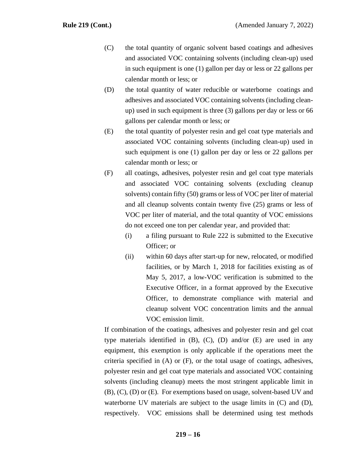- (C) the total quantity of organic solvent based coatings and adhesives and associated VOC containing solvents (including clean-up) used in such equipment is one (1) gallon per day or less or 22 gallons per calendar month or less; or
- (D) the total quantity of water reducible or waterborne coatings and adhesives and associated VOC containing solvents (including cleanup) used in such equipment is three (3) gallons per day or less or 66 gallons per calendar month or less; or
- (E) the total quantity of polyester resin and gel coat type materials and associated VOC containing solvents (including clean-up) used in such equipment is one (1) gallon per day or less or 22 gallons per calendar month or less; or
- (F) all coatings, adhesives, polyester resin and gel coat type materials and associated VOC containing solvents (excluding cleanup solvents) contain fifty (50) grams or less of VOC per liter of material and all cleanup solvents contain twenty five (25) grams or less of VOC per liter of material, and the total quantity of VOC emissions do not exceed one ton per calendar year, and provided that:
	- (i) a filing pursuant to Rule 222 is submitted to the Executive Officer; or
	- (ii) within 60 days after start-up for new, relocated, or modified facilities, or by March 1, 2018 for facilities existing as of May 5, 2017, a low-VOC verification is submitted to the Executive Officer, in a format approved by the Executive Officer, to demonstrate compliance with material and cleanup solvent VOC concentration limits and the annual VOC emission limit.

If combination of the coatings, adhesives and polyester resin and gel coat type materials identified in (B), (C), (D) and/or (E) are used in any equipment, this exemption is only applicable if the operations meet the criteria specified in (A) or (F), or the total usage of coatings, adhesives, polyester resin and gel coat type materials and associated VOC containing solvents (including cleanup) meets the most stringent applicable limit in (B), (C), (D) or (E). For exemptions based on usage, solvent-based UV and waterborne UV materials are subject to the usage limits in (C) and (D), respectively. VOC emissions shall be determined using test methods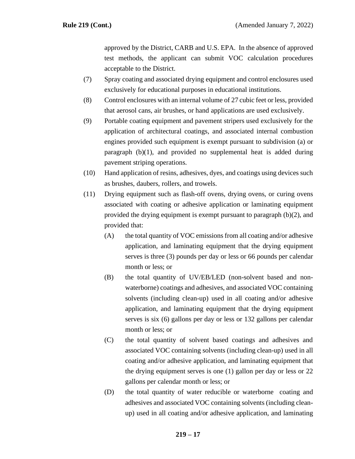approved by the District, CARB and U.S. EPA. In the absence of approved test methods, the applicant can submit VOC calculation procedures acceptable to the District.

- (7) Spray coating and associated drying equipment and control enclosures used exclusively for educational purposes in educational institutions.
- (8) Control enclosures with an internal volume of 27 cubic feet or less, provided that aerosol cans, air brushes, or hand applications are used exclusively.
- (9) Portable coating equipment and pavement stripers used exclusively for the application of architectural coatings, and associated internal combustion engines provided such equipment is exempt pursuant to subdivision (a) or paragraph (b)(1), and provided no supplemental heat is added during pavement striping operations.
- (10) Hand application of resins, adhesives, dyes, and coatings using devices such as brushes, daubers, rollers, and trowels.
- (11) Drying equipment such as flash-off ovens, drying ovens, or curing ovens associated with coating or adhesive application or laminating equipment provided the drying equipment is exempt pursuant to paragraph (b)(2), and provided that:
	- (A) the total quantity of VOC emissions from all coating and/or adhesive application, and laminating equipment that the drying equipment serves is three (3) pounds per day or less or 66 pounds per calendar month or less; or
	- (B) the total quantity of UV/EB/LED (non-solvent based and nonwaterborne) coatings and adhesives, and associated VOC containing solvents (including clean-up) used in all coating and/or adhesive application, and laminating equipment that the drying equipment serves is six (6) gallons per day or less or 132 gallons per calendar month or less; or
	- (C) the total quantity of solvent based coatings and adhesives and associated VOC containing solvents (including clean-up) used in all coating and/or adhesive application, and laminating equipment that the drying equipment serves is one (1) gallon per day or less or 22 gallons per calendar month or less; or
	- (D) the total quantity of water reducible or waterborne coating and adhesives and associated VOC containing solvents (including cleanup) used in all coating and/or adhesive application, and laminating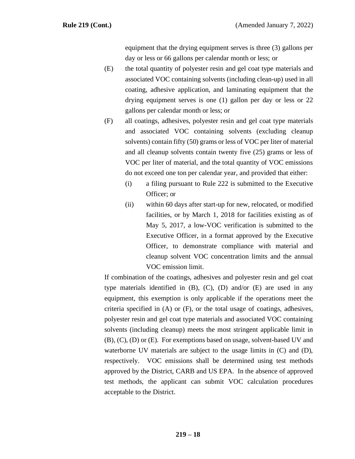equipment that the drying equipment serves is three (3) gallons per day or less or 66 gallons per calendar month or less; or

- (E) the total quantity of polyester resin and gel coat type materials and associated VOC containing solvents (including clean-up) used in all coating, adhesive application, and laminating equipment that the drying equipment serves is one (1) gallon per day or less or 22 gallons per calendar month or less; or
- (F) all coatings, adhesives, polyester resin and gel coat type materials and associated VOC containing solvents (excluding cleanup solvents) contain fifty (50) grams or less of VOC per liter of material and all cleanup solvents contain twenty five (25) grams or less of VOC per liter of material, and the total quantity of VOC emissions do not exceed one ton per calendar year, and provided that either:
	- (i) a filing pursuant to Rule 222 is submitted to the Executive Officer; or
	- (ii) within 60 days after start-up for new, relocated, or modified facilities, or by March 1, 2018 for facilities existing as of May 5, 2017, a low-VOC verification is submitted to the Executive Officer, in a format approved by the Executive Officer, to demonstrate compliance with material and cleanup solvent VOC concentration limits and the annual VOC emission limit.

If combination of the coatings, adhesives and polyester resin and gel coat type materials identified in (B), (C), (D) and/or (E) are used in any equipment, this exemption is only applicable if the operations meet the criteria specified in (A) or (F), or the total usage of coatings, adhesives, polyester resin and gel coat type materials and associated VOC containing solvents (including cleanup) meets the most stringent applicable limit in (B), (C), (D) or (E). For exemptions based on usage, solvent-based UV and waterborne UV materials are subject to the usage limits in (C) and (D), respectively. VOC emissions shall be determined using test methods approved by the District, CARB and US EPA. In the absence of approved test methods, the applicant can submit VOC calculation procedures acceptable to the District.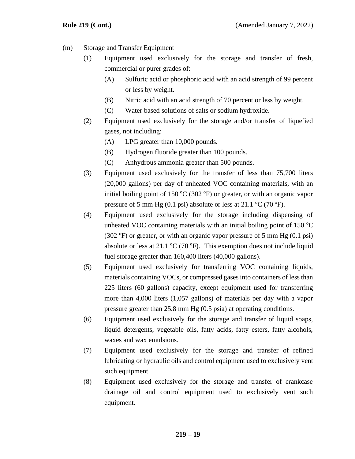- (m) Storage and Transfer Equipment
	- (1) Equipment used exclusively for the storage and transfer of fresh, commercial or purer grades of:
		- (A) Sulfuric acid or phosphoric acid with an acid strength of 99 percent or less by weight.
		- (B) Nitric acid with an acid strength of 70 percent or less by weight.
		- (C) Water based solutions of salts or sodium hydroxide.
	- (2) Equipment used exclusively for the storage and/or transfer of liquefied gases, not including:
		- (A) LPG greater than 10,000 pounds.
		- (B) Hydrogen fluoride greater than 100 pounds.
		- (C) Anhydrous ammonia greater than 500 pounds.
	- (3) Equipment used exclusively for the transfer of less than 75,700 liters (20,000 gallons) per day of unheated VOC containing materials, with an initial boiling point of 150  $\rm{^{\circ}C}$  (302  $\rm{^{\circ}F}$ ) or greater, or with an organic vapor pressure of 5 mm Hg (0.1 psi) absolute or less at 21.1  $\rm{^{\circ}C}$  (70  $\rm{^{\circ}F}$ ).
	- (4) Equipment used exclusively for the storage including dispensing of unheated VOC containing materials with an initial boiling point of 150  $\mathrm{^{\circ}C}$ (302  $\textdegree$ F) or greater, or with an organic vapor pressure of 5 mm Hg (0.1 psi) absolute or less at 21.1  $\rm{^{\circ}C}$  (70  $\rm{^{\circ}F}$ ). This exemption does not include liquid fuel storage greater than 160,400 liters (40,000 gallons).
	- (5) Equipment used exclusively for transferring VOC containing liquids, materials containing VOCs, or compressed gases into containers of less than 225 liters (60 gallons) capacity, except equipment used for transferring more than 4,000 liters (1,057 gallons) of materials per day with a vapor pressure greater than 25.8 mm Hg (0.5 psia) at operating conditions.
	- (6) Equipment used exclusively for the storage and transfer of liquid soaps, liquid detergents, vegetable oils, fatty acids, fatty esters, fatty alcohols, waxes and wax emulsions.
	- (7) Equipment used exclusively for the storage and transfer of refined lubricating or hydraulic oils and control equipment used to exclusively vent such equipment.
	- (8) Equipment used exclusively for the storage and transfer of crankcase drainage oil and control equipment used to exclusively vent such equipment.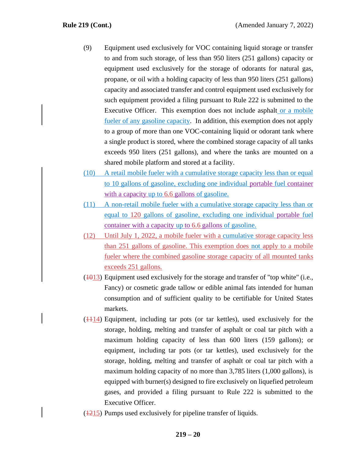- (9) Equipment used exclusively for VOC containing liquid storage or transfer to and from such storage, of less than 950 liters (251 gallons) capacity or equipment used exclusively for the storage of odorants for natural gas, propane, or oil with a holding capacity of less than 950 liters (251 gallons) capacity and associated transfer and control equipment used exclusively for such equipment provided a filing pursuant to Rule 222 is submitted to the Executive Officer. This exemption does not include asphalt or a mobile fueler of any gasoline capacity. In addition, this exemption does not apply to a group of more than one VOC-containing liquid or odorant tank where a single product is stored, where the combined storage capacity of all tanks exceeds 950 liters (251 gallons), and where the tanks are mounted on a shared mobile platform and stored at a facility.
- (10) A retail mobile fueler with a cumulative storage capacity less than or equal to 10 gallons of gasoline, excluding one individual portable fuel container with a capacity up to 6.6 gallons of gasoline.
- (11) A non-retail mobile fueler with a cumulative storage capacity less than or equal to 120 gallons of gasoline, excluding one individual portable fuel container with a capacity up to 6.6 gallons of gasoline.
- (12) Until July 1, 2022, a mobile fueler with a cumulative storage capacity less than 251 gallons of gasoline. This exemption does not apply to a mobile fueler where the combined gasoline storage capacity of all mounted tanks exceeds 251 gallons.
- $(1013)$  Equipment used exclusively for the storage and transfer of "top white" (i.e., Fancy) or cosmetic grade tallow or edible animal fats intended for human consumption and of sufficient quality to be certifiable for United States markets.
- $(1114)$  Equipment, including tar pots (or tar kettles), used exclusively for the storage, holding, melting and transfer of asphalt or coal tar pitch with a maximum holding capacity of less than 600 liters (159 gallons); or equipment, including tar pots (or tar kettles), used exclusively for the storage, holding, melting and transfer of asphalt or coal tar pitch with a maximum holding capacity of no more than 3,785 liters (1,000 gallons), is equipped with burner(s) designed to fire exclusively on liquefied petroleum gases, and provided a filing pursuant to Rule 222 is submitted to the Executive Officer.
- (1215) Pumps used exclusively for pipeline transfer of liquids.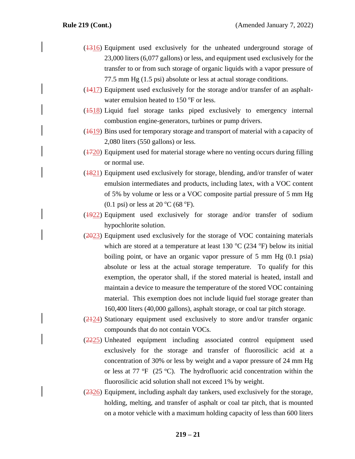- $(1316)$  Equipment used exclusively for the unheated underground storage of 23,000 liters (6,077 gallons) or less, and equipment used exclusively for the transfer to or from such storage of organic liquids with a vapor pressure of 77.5 mm Hg (1.5 psi) absolute or less at actual storage conditions.
- (1417) Equipment used exclusively for the storage and/or transfer of an asphaltwater emulsion heated to  $150^{\circ}$ F or less.
- $(1518)$  Liquid fuel storage tanks piped exclusively to emergency internal combustion engine-generators, turbines or pump drivers.
- (1619) Bins used for temporary storage and transport of material with a capacity of 2,080 liters (550 gallons) or less.
- $(1720)$  Equipment used for material storage where no venting occurs during filling or normal use.
- (1821) Equipment used exclusively for storage, blending, and/or transfer of water emulsion intermediates and products, including latex, with a VOC content of 5% by volume or less or a VOC composite partial pressure of 5 mm Hg  $(0.1 \text{ psi})$  or less at 20 °C (68 °F).
- (1922) Equipment used exclusively for storage and/or transfer of sodium hypochlorite solution.
- (2023) Equipment used exclusively for the storage of VOC containing materials which are stored at a temperature at least 130  $^{\circ}$ C (234  $^{\circ}$ F) below its initial boiling point, or have an organic vapor pressure of 5 mm Hg (0.1 psia) absolute or less at the actual storage temperature. To qualify for this exemption, the operator shall, if the stored material is heated, install and maintain a device to measure the temperature of the stored VOC containing material. This exemption does not include liquid fuel storage greater than 160,400 liters (40,000 gallons), asphalt storage, or coal tar pitch storage.
- (2124) Stationary equipment used exclusively to store and/or transfer organic compounds that do not contain VOCs.
- (2225) Unheated equipment including associated control equipment used exclusively for the storage and transfer of fluorosilicic acid at a concentration of 30% or less by weight and a vapor pressure of 24 mm Hg or less at 77  $\mathrm{P}F(25 \mathrm{C})$ . The hydrofluoric acid concentration within the fluorosilicic acid solution shall not exceed 1% by weight.
- (2326) Equipment, including asphalt day tankers, used exclusively for the storage, holding, melting, and transfer of asphalt or coal tar pitch, that is mounted on a motor vehicle with a maximum holding capacity of less than 600 liters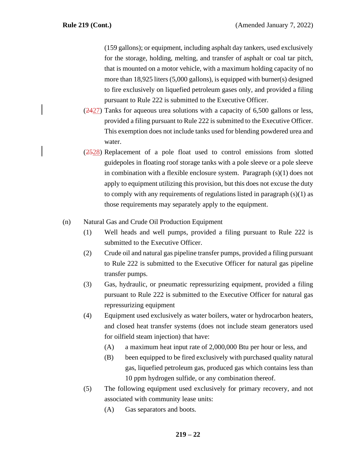(159 gallons); or equipment, including asphalt day tankers, used exclusively for the storage, holding, melting, and transfer of asphalt or coal tar pitch, that is mounted on a motor vehicle, with a maximum holding capacity of no more than 18,925 liters (5,000 gallons), is equipped with burner(s) designed to fire exclusively on liquefied petroleum gases only, and provided a filing pursuant to Rule 222 is submitted to the Executive Officer.

- $(2427)$  Tanks for aqueous urea solutions with a capacity of 6,500 gallons or less, provided a filing pursuant to Rule 222 is submitted to the Executive Officer. This exemption does not include tanks used for blending powdered urea and water.
- (2528) Replacement of a pole float used to control emissions from slotted guidepoles in floating roof storage tanks with a pole sleeve or a pole sleeve in combination with a flexible enclosure system. Paragraph (s)(1) does not apply to equipment utilizing this provision, but this does not excuse the duty to comply with any requirements of regulations listed in paragraph (s)(1) as those requirements may separately apply to the equipment.

## (n) Natural Gas and Crude Oil Production Equipment

- (1) Well heads and well pumps, provided a filing pursuant to Rule 222 is submitted to the Executive Officer.
- (2) Crude oil and natural gas pipeline transfer pumps, provided a filing pursuant to Rule 222 is submitted to the Executive Officer for natural gas pipeline transfer pumps.
- (3) Gas, hydraulic, or pneumatic repressurizing equipment, provided a filing pursuant to Rule 222 is submitted to the Executive Officer for natural gas repressurizing equipment
- (4) Equipment used exclusively as water boilers, water or hydrocarbon heaters, and closed heat transfer systems (does not include steam generators used for oilfield steam injection) that have:
	- (A) a maximum heat input rate of 2,000,000 Btu per hour or less, and
	- (B) been equipped to be fired exclusively with purchased quality natural gas, liquefied petroleum gas, produced gas which contains less than 10 ppm hydrogen sulfide, or any combination thereof.
- (5) The following equipment used exclusively for primary recovery, and not associated with community lease units:
	- (A) Gas separators and boots.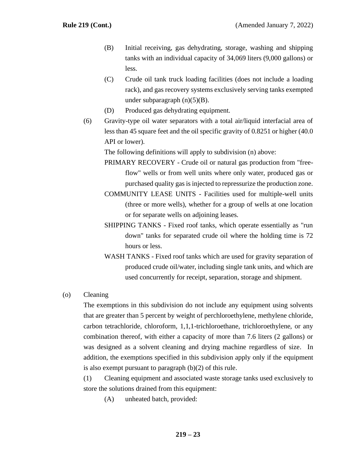- (B) Initial receiving, gas dehydrating, storage, washing and shipping tanks with an individual capacity of 34,069 liters (9,000 gallons) or less.
- (C) Crude oil tank truck loading facilities (does not include a loading rack), and gas recovery systems exclusively serving tanks exempted under subparagraph (n)(5)(B).
- (D) Produced gas dehydrating equipment.
- (6) Gravity-type oil water separators with a total air/liquid interfacial area of less than 45 square feet and the oil specific gravity of 0.8251 or higher (40.0 API or lower).

The following definitions will apply to subdivision (n) above:

- PRIMARY RECOVERY Crude oil or natural gas production from "freeflow" wells or from well units where only water, produced gas or purchased quality gas is injected to repressurize the production zone.
- COMMUNITY LEASE UNITS Facilities used for multiple-well units (three or more wells), whether for a group of wells at one location or for separate wells on adjoining leases.
- SHIPPING TANKS Fixed roof tanks, which operate essentially as "run down" tanks for separated crude oil where the holding time is 72 hours or less.
- WASH TANKS Fixed roof tanks which are used for gravity separation of produced crude oil/water, including single tank units, and which are used concurrently for receipt, separation, storage and shipment.

## (o) Cleaning

The exemptions in this subdivision do not include any equipment using solvents that are greater than 5 percent by weight of perchloroethylene, methylene chloride, carbon tetrachloride, chloroform, 1,1,1-trichloroethane, trichloroethylene, or any combination thereof, with either a capacity of more than 7.6 liters (2 gallons) or was designed as a solvent cleaning and drying machine regardless of size. In addition, the exemptions specified in this subdivision apply only if the equipment is also exempt pursuant to paragraph (b)(2) of this rule.

(1) Cleaning equipment and associated waste storage tanks used exclusively to store the solutions drained from this equipment:

(A) unheated batch, provided: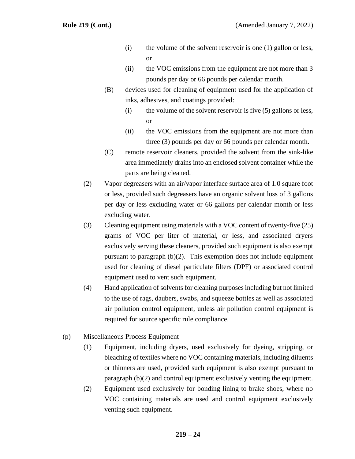- (i) the volume of the solvent reservoir is one (1) gallon or less, or
- (ii) the VOC emissions from the equipment are not more than 3 pounds per day or 66 pounds per calendar month.
- (B) devices used for cleaning of equipment used for the application of inks, adhesives, and coatings provided:
	- $(i)$  the volume of the solvent reservoir is five  $(5)$  gallons or less, or
	- (ii) the VOC emissions from the equipment are not more than three (3) pounds per day or 66 pounds per calendar month.
- (C) remote reservoir cleaners, provided the solvent from the sink-like area immediately drains into an enclosed solvent container while the parts are being cleaned.
- (2) Vapor degreasers with an air/vapor interface surface area of 1.0 square foot or less, provided such degreasers have an organic solvent loss of 3 gallons per day or less excluding water or 66 gallons per calendar month or less excluding water.
- (3) Cleaning equipment using materials with a VOC content of twenty-five (25) grams of VOC per liter of material, or less, and associated dryers exclusively serving these cleaners, provided such equipment is also exempt pursuant to paragraph (b)(2). This exemption does not include equipment used for cleaning of diesel particulate filters (DPF) or associated control equipment used to vent such equipment.
- (4) Hand application of solvents for cleaning purposes including but not limited to the use of rags, daubers, swabs, and squeeze bottles as well as associated air pollution control equipment, unless air pollution control equipment is required for source specific rule compliance.
- (p) Miscellaneous Process Equipment
	- (1) Equipment, including dryers, used exclusively for dyeing, stripping, or bleaching of textiles where no VOC containing materials, including diluents or thinners are used, provided such equipment is also exempt pursuant to paragraph (b)(2) and control equipment exclusively venting the equipment.
	- (2) Equipment used exclusively for bonding lining to brake shoes, where no VOC containing materials are used and control equipment exclusively venting such equipment.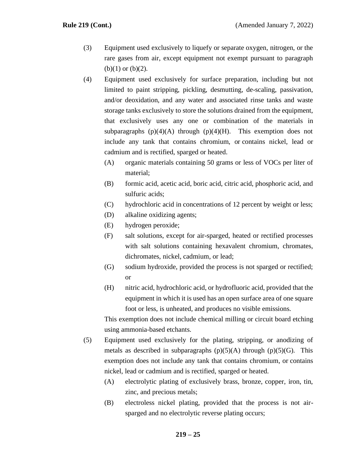- (3) Equipment used exclusively to liquefy or separate oxygen, nitrogen, or the rare gases from air, except equipment not exempt pursuant to paragraph  $(b)(1)$  or  $(b)(2)$ .
- (4) Equipment used exclusively for surface preparation, including but not limited to paint stripping, pickling, desmutting, de-scaling, passivation, and/or deoxidation, and any water and associated rinse tanks and waste storage tanks exclusively to store the solutions drained from the equipment, that exclusively uses any one or combination of the materials in subparagraphs  $(p)(4)(A)$  through  $(p)(4)(H)$ . This exemption does not include any tank that contains chromium, or contains nickel, lead or cadmium and is rectified, sparged or heated.
	- (A) organic materials containing 50 grams or less of VOCs per liter of material;
	- (B) formic acid, acetic acid, boric acid, citric acid, phosphoric acid, and sulfuric acids;
	- (C) hydrochloric acid in concentrations of 12 percent by weight or less;
	- (D) alkaline oxidizing agents;
	- (E) hydrogen peroxide;
	- (F) salt solutions, except for air-sparged, heated or rectified processes with salt solutions containing hexavalent chromium, chromates, dichromates, nickel, cadmium, or lead;
	- (G) sodium hydroxide, provided the process is not sparged or rectified; or
	- (H) nitric acid, hydrochloric acid, or hydrofluoric acid, provided that the equipment in which it is used has an open surface area of one square foot or less, is unheated, and produces no visible emissions.

This exemption does not include chemical milling or circuit board etching using ammonia-based etchants.

- (5) Equipment used exclusively for the plating, stripping, or anodizing of metals as described in subparagraphs  $(p)(5)(A)$  through  $(p)(5)(G)$ . This exemption does not include any tank that contains chromium, or contains nickel, lead or cadmium and is rectified, sparged or heated.
	- (A) electrolytic plating of exclusively brass, bronze, copper, iron, tin, zinc, and precious metals;
	- (B) electroless nickel plating, provided that the process is not airsparged and no electrolytic reverse plating occurs;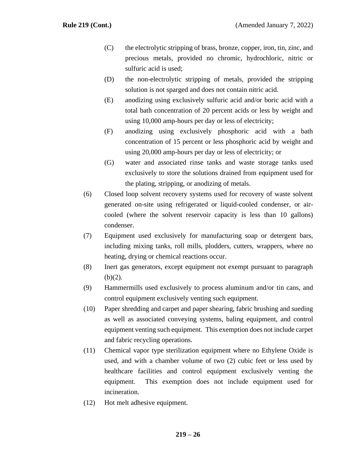- (C) the electrolytic stripping of brass, bronze, copper, iron, tin, zinc, and precious metals, provided no chromic, hydrochloric, nitric or sulfuric acid is used;
- (D) the non-electrolytic stripping of metals, provided the stripping solution is not sparged and does not contain nitric acid.
- (E) anodizing using exclusively sulfuric acid and/or boric acid with a total bath concentration of 20 percent acids or less by weight and using 10,000 amp-hours per day or less of electricity;
- (F) anodizing using exclusively phosphoric acid with a bath concentration of 15 percent or less phosphoric acid by weight and using 20,000 amp-hours per day or less of electricity; or
- (G) water and associated rinse tanks and waste storage tanks used exclusively to store the solutions drained from equipment used for the plating, stripping, or anodizing of metals.
- (6) Closed loop solvent recovery systems used for recovery of waste solvent generated on-site using refrigerated or liquid-cooled condenser, or aircooled (where the solvent reservoir capacity is less than 10 gallons) condenser.
- (7) Equipment used exclusively for manufacturing soap or detergent bars, including mixing tanks, roll mills, plodders, cutters, wrappers, where no heating, drying or chemical reactions occur.
- (8) Inert gas generators, except equipment not exempt pursuant to paragraph  $(b)(2)$ .
- (9) Hammermills used exclusively to process aluminum and/or tin cans, and control equipment exclusively venting such equipment.
- (10) Paper shredding and carpet and paper shearing, fabric brushing and sueding as well as associated conveying systems, baling equipment, and control equipment venting such equipment. This exemption does not include carpet and fabric recycling operations.
- (11) Chemical vapor type sterilization equipment where no Ethylene Oxide is used, and with a chamber volume of two (2) cubic feet or less used by healthcare facilities and control equipment exclusively venting the equipment. This exemption does not include equipment used for incineration.
- (12) Hot melt adhesive equipment.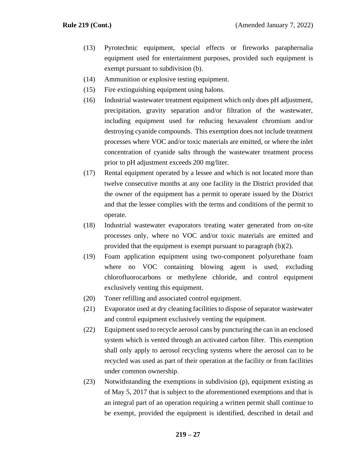- (13) Pyrotechnic equipment, special effects or fireworks paraphernalia equipment used for entertainment purposes, provided such equipment is exempt pursuant to subdivision (b).
- (14) Ammunition or explosive testing equipment.
- (15) Fire extinguishing equipment using halons.
- (16) Industrial wastewater treatment equipment which only does pH adjustment, precipitation, gravity separation and/or filtration of the wastewater, including equipment used for reducing hexavalent chromium and/or destroying cyanide compounds. This exemption does not include treatment processes where VOC and/or toxic materials are emitted, or where the inlet concentration of cyanide salts through the wastewater treatment process prior to pH adjustment exceeds 200 mg/liter.
- (17) Rental equipment operated by a lessee and which is not located more than twelve consecutive months at any one facility in the District provided that the owner of the equipment has a permit to operate issued by the District and that the lessee complies with the terms and conditions of the permit to operate.
- (18) Industrial wastewater evaporators treating water generated from on-site processes only, where no VOC and/or toxic materials are emitted and provided that the equipment is exempt pursuant to paragraph (b)(2).
- (19) Foam application equipment using two-component polyurethane foam where no VOC containing blowing agent is used, excluding chlorofluorocarbons or methylene chloride, and control equipment exclusively venting this equipment.
- (20) Toner refilling and associated control equipment.
- (21) Evaporator used at dry cleaning facilities to dispose of separator wastewater and control equipment exclusively venting the equipment.
- (22) Equipment used to recycle aerosol cans by puncturing the can in an enclosed system which is vented through an activated carbon filter. This exemption shall only apply to aerosol recycling systems where the aerosol can to be recycled was used as part of their operation at the facility or from facilities under common ownership.
- (23) Notwithstanding the exemptions in subdivision (p), equipment existing as of May 5, 2017 that is subject to the aforementioned exemptions and that is an integral part of an operation requiring a written permit shall continue to be exempt, provided the equipment is identified, described in detail and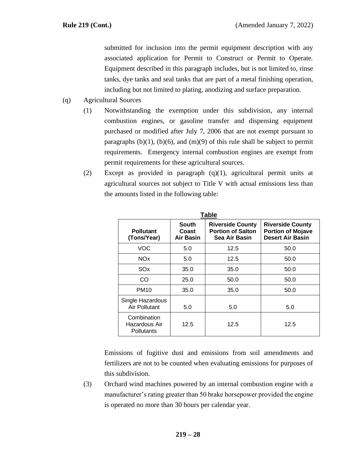submitted for inclusion into the permit equipment description with any associated application for Permit to Construct or Permit to Operate. Equipment described in this paragraph includes, but is not limited to, rinse tanks, dye tanks and seal tanks that are part of a metal finishing operation, including but not limited to plating, anodizing and surface preparation.

- (q) Agricultural Sources
	- (1) Notwithstanding the exemption under this subdivision, any internal combustion engines, or gasoline transfer and dispensing equipment purchased or modified after July 7, 2006 that are not exempt pursuant to paragraphs  $(b)(1)$ ,  $(b)(6)$ , and  $(m)(9)$  of this rule shall be subject to permit requirements. Emergency internal combustion engines are exempt from permit requirements for these agricultural sources.
	- (2) Except as provided in paragraph (q)(1), agricultural permit units at agricultural sources not subject to Title V with actual emissions less than the amounts listed in the following table:

**Table** 

| Table                                      |                                    |                                                                      |                                                                                |  |
|--------------------------------------------|------------------------------------|----------------------------------------------------------------------|--------------------------------------------------------------------------------|--|
| <b>Pollutant</b><br>(Tons/Year)            | South<br>Coast<br><b>Air Basin</b> | <b>Riverside County</b><br><b>Portion of Salton</b><br>Sea Air Basin | <b>Riverside County</b><br><b>Portion of Mojave</b><br><b>Desert Air Basin</b> |  |
| <b>VOC</b>                                 | 5.0                                | 12.5                                                                 | 50.0                                                                           |  |
| <b>NO<sub>x</sub></b>                      | 5.0                                | 12.5                                                                 | 50.0                                                                           |  |
| SOx                                        | 35.0                               | 35.0                                                                 | 50.0                                                                           |  |
| CO                                         | 25.0                               | 50.0                                                                 | 50.0                                                                           |  |
| <b>PM10</b>                                | 35.0                               | 35.0                                                                 | 50.0                                                                           |  |
| Single Hazardous<br><b>Air Pollutant</b>   | 5.0                                | 5.0                                                                  | 5.0                                                                            |  |
| Combination<br>Hazardous Air<br>Pollutants | 12.5                               | 12.5                                                                 | 12.5                                                                           |  |

Emissions of fugitive dust and emissions from soil amendments and fertilizers are not to be counted when evaluating emissions for purposes of this subdivision.

(3) Orchard wind machines powered by an internal combustion engine with a manufacturer's rating greater than 50 brake horsepower provided the engine is operated no more than 30 hours per calendar year.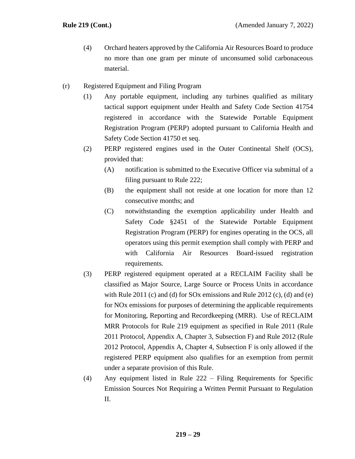- (4) Orchard heaters approved by the California Air Resources Board to produce no more than one gram per minute of unconsumed solid carbonaceous material.
- (r) Registered Equipment and Filing Program
	- (1) Any portable equipment, including any turbines qualified as military tactical support equipment under Health and Safety Code Section 41754 registered in accordance with the Statewide Portable Equipment Registration Program (PERP) adopted pursuant to California Health and Safety Code Section 41750 et seq.
	- (2) PERP registered engines used in the Outer Continental Shelf (OCS), provided that:
		- (A) notification is submitted to the Executive Officer via submittal of a filing pursuant to Rule 222;
		- (B) the equipment shall not reside at one location for more than 12 consecutive months; and
		- (C) notwithstanding the exemption applicability under Health and Safety Code §2451 of the Statewide Portable Equipment Registration Program (PERP) for engines operating in the OCS, all operators using this permit exemption shall comply with PERP and with California Air Resources Board-issued registration requirements.
	- (3) PERP registered equipment operated at a RECLAIM Facility shall be classified as Major Source, Large Source or Process Units in accordance with Rule 2011 (c) and (d) for SOx emissions and Rule 2012 (c), (d) and (e) for NOx emissions for purposes of determining the applicable requirements for Monitoring, Reporting and Recordkeeping (MRR). Use of RECLAIM MRR Protocols for Rule 219 equipment as specified in Rule 2011 (Rule 2011 Protocol, Appendix A, Chapter 3, Subsection F) and Rule 2012 (Rule 2012 Protocol, Appendix A, Chapter 4, Subsection F is only allowed if the registered PERP equipment also qualifies for an exemption from permit under a separate provision of this Rule.
	- (4) Any equipment listed in Rule 222 Filing Requirements for Specific Emission Sources Not Requiring a Written Permit Pursuant to Regulation II.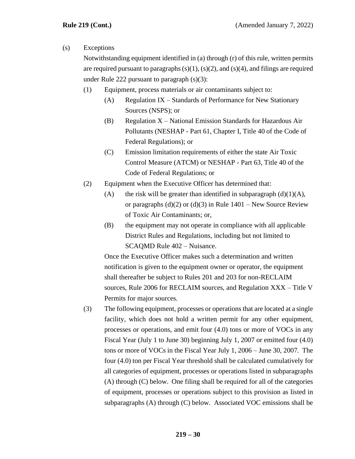### (s) Exceptions

Notwithstanding equipment identified in (a) through (r) of this rule, written permits are required pursuant to paragraphs  $(s)(1)$ ,  $(s)(2)$ , and  $(s)(4)$ , and filings are required under Rule 222 pursuant to paragraph (s)(3):

- (1) Equipment, process materials or air contaminants subject to:
	- $(A)$  Regulation IX Standards of Performance for New Stationary Sources (NSPS); or
	- (B) Regulation  $X$  National Emission Standards for Hazardous Air Pollutants (NESHAP - Part 61, Chapter I, Title 40 of the Code of Federal Regulations); or
	- (C) Emission limitation requirements of either the state Air Toxic Control Measure (ATCM) or NESHAP - Part 63, Title 40 of the Code of Federal Regulations; or
- (2) Equipment when the Executive Officer has determined that:
	- (A) the risk will be greater than identified in subparagraph  $(d)(1)(A)$ , or paragraphs  $(d)(2)$  or  $(d)(3)$  in Rule 1401 – New Source Review of Toxic Air Contaminants; or,
	- (B) the equipment may not operate in compliance with all applicable District Rules and Regulations, including but not limited to SCAQMD Rule 402 – Nuisance.

Once the Executive Officer makes such a determination and written notification is given to the equipment owner or operator, the equipment shall thereafter be subject to Rules 201 and 203 for non-RECLAIM sources, Rule 2006 for RECLAIM sources, and Regulation XXX – Title V Permits for major sources.

(3) The following equipment, processes or operations that are located at a single facility, which does not hold a written permit for any other equipment, processes or operations, and emit four (4.0) tons or more of VOCs in any Fiscal Year (July 1 to June 30) beginning July 1, 2007 or emitted four (4.0) tons or more of VOCs in the Fiscal Year July 1, 2006 – June 30, 2007. The four (4.0) ton per Fiscal Year threshold shall be calculated cumulatively for all categories of equipment, processes or operations listed in subparagraphs (A) through (C) below. One filing shall be required for all of the categories of equipment, processes or operations subject to this provision as listed in subparagraphs (A) through (C) below. Associated VOC emissions shall be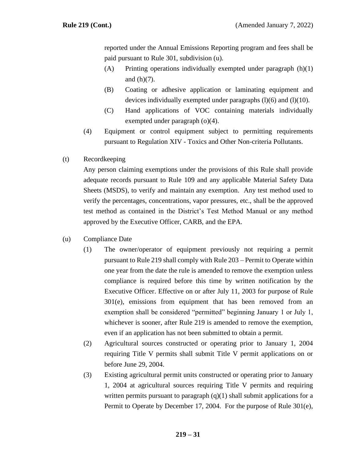reported under the Annual Emissions Reporting program and fees shall be paid pursuant to Rule 301, subdivision (u).

- (A) Printing operations individually exempted under paragraph (h)(1) and  $(h)(7)$ .
- (B) Coating or adhesive application or laminating equipment and devices individually exempted under paragraphs  $(l)(6)$  and  $(l)(10)$ .
- (C) Hand applications of VOC containing materials individually exempted under paragraph (o)(4).
- (4) Equipment or control equipment subject to permitting requirements pursuant to Regulation XIV - Toxics and Other Non-criteria Pollutants.
- (t) Recordkeeping

Any person claiming exemptions under the provisions of this Rule shall provide adequate records pursuant to Rule 109 and any applicable Material Safety Data Sheets (MSDS), to verify and maintain any exemption. Any test method used to verify the percentages, concentrations, vapor pressures, etc., shall be the approved test method as contained in the District's Test Method Manual or any method approved by the Executive Officer, CARB, and the EPA.

- (u) Compliance Date
	- (1) The owner/operator of equipment previously not requiring a permit pursuant to Rule 219 shall comply with Rule 203 – Permit to Operate within one year from the date the rule is amended to remove the exemption unless compliance is required before this time by written notification by the Executive Officer. Effective on or after July 11, 2003 for purpose of Rule 301(e), emissions from equipment that has been removed from an exemption shall be considered "permitted" beginning January 1 or July 1, whichever is sooner, after Rule 219 is amended to remove the exemption, even if an application has not been submitted to obtain a permit.
	- (2) Agricultural sources constructed or operating prior to January 1, 2004 requiring Title V permits shall submit Title V permit applications on or before June 29, 2004.
	- (3) Existing agricultural permit units constructed or operating prior to January 1, 2004 at agricultural sources requiring Title V permits and requiring written permits pursuant to paragraph  $(q)(1)$  shall submit applications for a Permit to Operate by December 17, 2004. For the purpose of Rule 301(e),